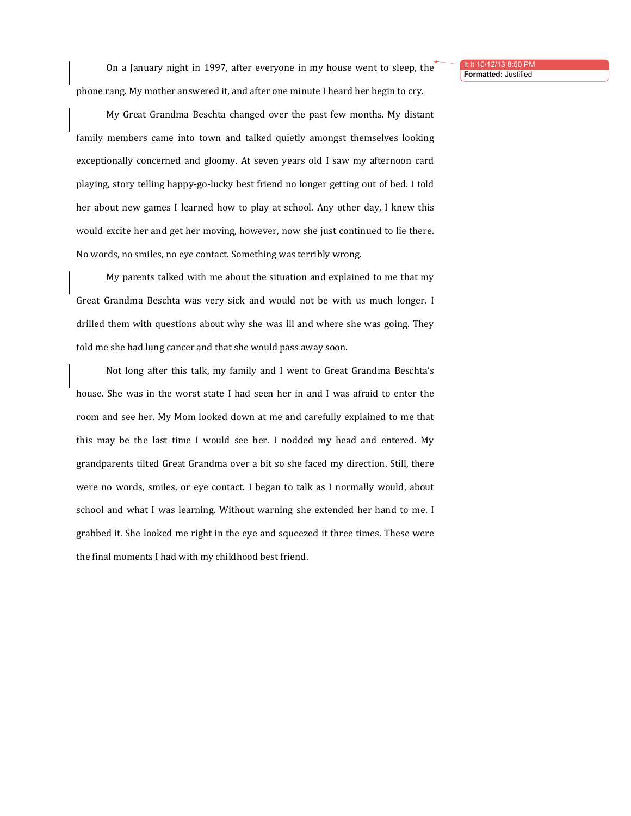It It 10/12/13 8:50 **Formatted:** Justified

On a January night in 1997, after everyone in my house went to sleep, the phone rang. My mother answered it, and after one minute I heard her begin to cry.

My Great Grandma Beschta changed over the past few months. My distant family members came into town and talked quietly amongst themselves looking exceptionally concerned and gloomy. At seven years old I saw my afternoon card playing, story telling happy-go-lucky best friend no longer getting out of bed. I told her about new games I learned how to play at school. Any other day, I knew this would excite her and get her moving, however, now she just continued to lie there. No words, no smiles, no eye contact. Something was terribly wrong.

My parents talked with me about the situation and explained to me that my Great Grandma Beschta was very sick and would not be with us much longer. I drilled them with questions about why she was ill and where she was going. They told me she had lung cancer and that she would pass away soon.

Not long after this talk, my family and I went to Great Grandma Beschta's house. She was in the worst state I had seen her in and I was afraid to enter the room and see her. My Mom looked down at me and carefully explained to me that this may be the last time I would see her. I nodded my head and entered. My grandparents tilted Great Grandma over a bit so she faced my direction. Still, there were no words, smiles, or eye contact. I began to talk as I normally would, about school and what I was learning. Without warning she extended her hand to me. I grabbed it. She looked me right in the eye and squeezed it three times. These were the final moments I had with my childhood best friend.